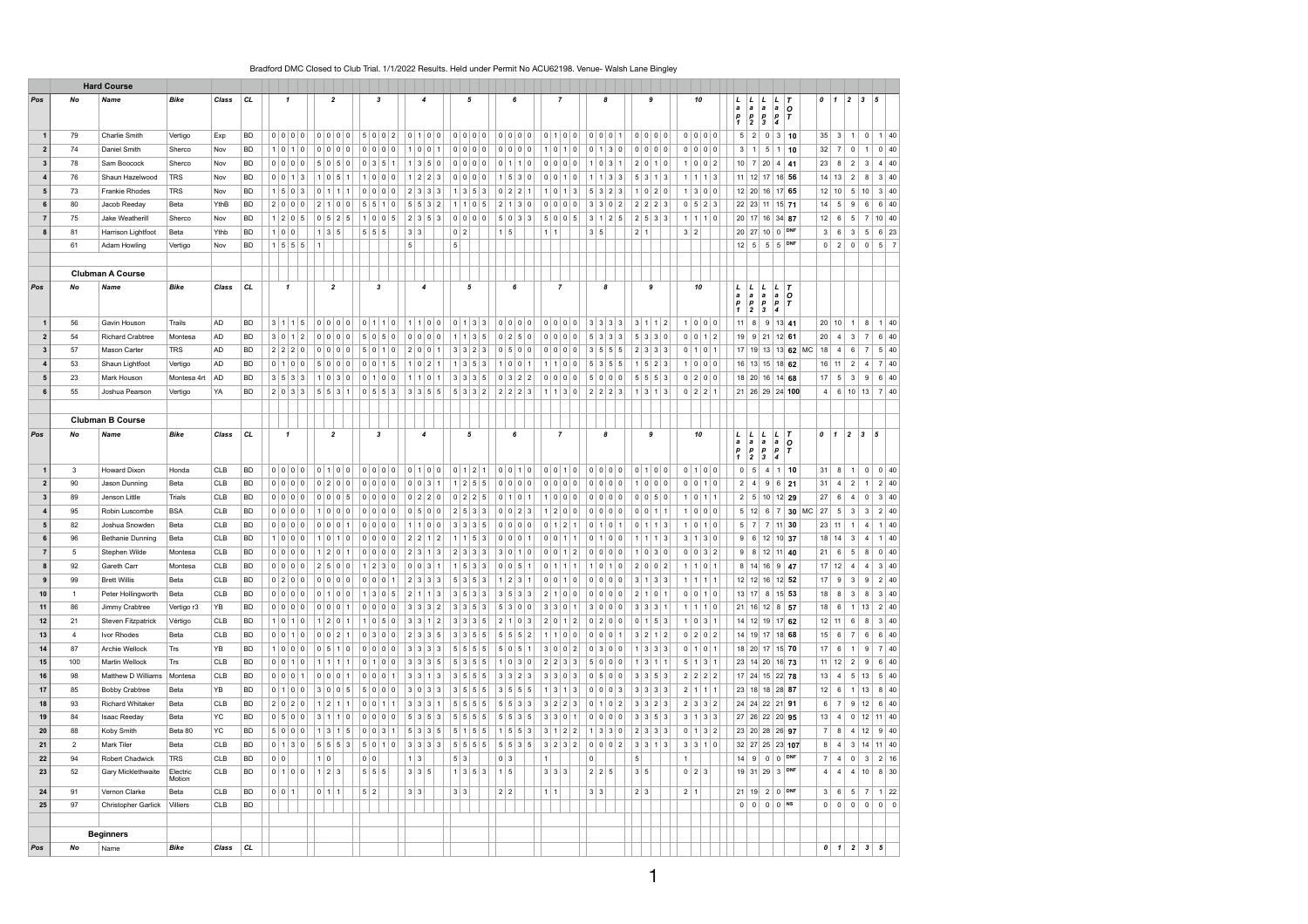Bradford DMC Closed to Club Trial. 1/1/2022 Results. Held under Permit No ACU62198. Venue- Walsh Lane Bingley

|              |                 | <b>Hard Course</b>         |                    |              |           |                               |                               |                                                                               |                |                                                                             |                   |                               |                         |                          |                 |                                   |                |             |                                                        |                |                            |                |                                   |                   |                               |                                                |                                                 |                                                    |                                                           |                            |                         |                                                                       |                    |  |
|--------------|-----------------|----------------------------|--------------------|--------------|-----------|-------------------------------|-------------------------------|-------------------------------------------------------------------------------|----------------|-----------------------------------------------------------------------------|-------------------|-------------------------------|-------------------------|--------------------------|-----------------|-----------------------------------|----------------|-------------|--------------------------------------------------------|----------------|----------------------------|----------------|-----------------------------------|-------------------|-------------------------------|------------------------------------------------|-------------------------------------------------|----------------------------------------------------|-----------------------------------------------------------|----------------------------|-------------------------|-----------------------------------------------------------------------|--------------------|--|
| Pos          | <b>No</b>       | <b>Name</b>                | <b>Bike</b>        | <b>Class</b> | CL        | $\mathbf 1$                   |                               | $\overline{2}$                                                                |                | $\mathbf{3}$                                                                |                   |                               |                         |                          |                 |                                   |                |             |                                                        |                | 8                          |                | 9                                 |                   | 10                            |                                                |                                                 |                                                    | $L$ $T$                                                   |                            |                         | $0$ 1 2 3 5                                                           |                    |  |
|              |                 |                            |                    |              |           |                               |                               |                                                                               |                |                                                                             |                   |                               |                         |                          |                 |                                   |                |             |                                                        |                |                            |                |                                   |                   |                               |                                                | $\begin{array}{cc} p & p \\ 1 & 2 \end{array}$  | $\begin{array}{c} p \\ 3 \end{array}$              | $ a $ $\boldsymbol{O}$<br>$P$ $T$                         |                            |                         |                                                                       |                    |  |
|              |                 |                            |                    |              |           |                               |                               |                                                                               |                |                                                                             |                   |                               |                         |                          |                 |                                   |                |             |                                                        |                |                            |                |                                   |                   |                               |                                                |                                                 | $\overline{\mathbf{4}}$                            |                                                           |                            |                         |                                                                       |                    |  |
|              | 79              | <b>Charlie Smith</b>       | Vertigo            | Exp          | <b>BD</b> | 0 0 0 0                       |                               | 0 0 0 0                                                                       |                | 5 0 0 2                                                                     |                   | $0 \mid 1 \mid 0 \mid 0 \mid$ |                         |                          |                 | $0 0 0 0 $                        |                |             |                                                        |                |                            |                | 0 0 0 0                           |                   |                               |                                                | $5 \mid 2 \mid$                                 |                                                    | $0 \mid 3 \mid 10$                                        | 35<br>$\mathbf{3}$         |                         |                                                                       | $0 \mid 1 \mid 40$ |  |
|              | 74              | Daniel Smith               | Sherco             | Nov          | <b>BD</b> | 1 0 1 0                       |                               | $\begin{array}{c c c c c c c c c} \hline 0 & 0 & 0 & 0 \\ \hline \end{array}$ |                | $\begin{array}{c c c c c c c c} \hline 0 & 0 & 0 & 0 \\ \hline \end{array}$ | 1 0 0             |                               |                         | 0 0 0 0                  |                 | $0 0 0 0 $                        |                |             | $\overline{0}$<br>$1011$                               |                | $0 \mid 1 \mid 3 \mid 0$   |                | $0 0 0 0 0$                       |                   | 0 0 0 0                       |                                                |                                                 |                                                    | $3 \mid 1 \mid 5 \mid 1 \mid 10$                          | $32 \mid 7 \mid 0$         |                         |                                                                       | $1 \mid 0 \mid 40$ |  |
|              | 78              | Sam Boocock                | Sherco             | Nov          | <b>BD</b> | 0 0 0 0                       |                               | 5050                                                                          |                | 0 3 5                                                                       |                   | $1 \mid 3 \mid 5 \mid 0$      |                         | 0 0 0 0                  |                 | 0   1   1   0                     |                |             | ∣0                                                     |                | $\mid$ 0 $\mid$ 3 $\mid$ 1 |                | 2 0 1 0                           |                   | 1   0   0   2                 |                                                | $10 \mid 7$                                     |                                                    | $\vert 20 \vert 4 \vert 41$                               | $23 \mid 8$                | $\overline{2}$          | $3 \mid$                                                              | $4 \mid 40$        |  |
|              | 76              | Shaun Hazelwood            | <b>TRS</b>         | Nov          | <b>BD</b> | 0 0 1 3                       |                               | 1051                                                                          |                | 1 0 0 0                                                                     |                   | 1 2 2 3                       |                         | 0 0 0 0                  |                 |                                   | 1   5   3   0  |             | $\begin{array}{c c c c c c} 0 & 0 & 1 & 0 \end{array}$ |                | $1 \mid 1 \mid 3 \mid 3$   |                | $5 \mid 3 \mid 1 \mid 3$          |                   | $1 \mid 1 \mid 1 \mid 3$      |                                                |                                                 |                                                    | $11$ 12 17 16 56                                          | $14$ 13                    | $\overline{2}$          | 8 <sup>1</sup>                                                        | $3 \mid 40$        |  |
|              | 73              | <b>Frankie Rhodes</b>      | <b>TRS</b>         | Nov          | <b>BD</b> | 1   5   0   3                 |                               | 0 1 1 1                                                                       |                | 0 0 0 0                                                                     |                   | 2 3 3 3                       |                         | $1 \mid 3 \mid 5 \mid 3$ |                 | 0 2 2 1                           |                |             | 1 0 1 3                                                |                | 5323                       |                | 1 0 2 0                           |                   | 1   3   0   0                 |                                                |                                                 |                                                    | $12$ 20 16 17 65                                          | $12$ 10 5                  |                         | 10                                                                    | $3 \mid 40$        |  |
|              | 80              | Jacob Reeday               | Beta               | YthB         | <b>BD</b> | 2 0 0 0                       |                               | 2 1 0                                                                         | $\mathbf 0$    | 5 5 1 0                                                                     | $5 \mid 5 \mid$   | 3<br>$\vert 2 \vert$          |                         | 0                        | -5              | $2 \mid 1$                        | 3 <br>0        |             | 0 0 0<br>0                                             | 3              | 302                        |                | 2 2 2 3                           |                   | 0   5   2   3                 |                                                |                                                 |                                                    | $22 23 11 15$ 71                                          | $14$ 5                     | -9                      | $6 \mid$                                                              | $6 \mid 40$        |  |
|              | 75              | Jake Weatherill            | Sherco             | Nov          | <b>BD</b> | 1 2 0 5                       |                               | 0 5 2 5                                                                       |                | 1 0 0 5                                                                     |                   | 2 3 5 3                       |                         | 0 0 0 0                  |                 | 5 0 3 3                           |                |             | 5 0 0 5                                                |                | 3   1   2   5              |                | 2 5 3 3                           |                   | $1 \mid 1 \mid 1 \mid 0$      |                                                |                                                 |                                                    | $20$ 17 16 34 87                                          | $12$ 6                     | - 5                     | 7 10 40                                                               |                    |  |
|              | 81              | Harrison Lightfoot         | Beta               | Ythb         | <b>BD</b> | 1 0 0                         |                               | $1 \mid 3 \mid 5$                                                             |                | 5 5 5                                                                       | 3 3               |                               | 0 2                     |                          |                 | $1 \vert 5 \vert$                 |                | $1 \vert 1$ |                                                        |                | $3 \mid 5$                 | 2 1            |                                   | 3 2               |                               |                                                |                                                 |                                                    | 20 27 10 0 DNF                                            | 3 <sup>1</sup><br>$6 \mid$ | 3                       |                                                                       | $5 \mid 6 \mid 23$ |  |
|              | 61              | Adam Howling               | Vertigo            | Nov          | <b>BD</b> | $1 \mid 5 \mid 5 \mid 5$      |                               |                                                                               |                |                                                                             | 5 <sup>2</sup>    |                               | $5\phantom{.0}$         |                          |                 |                                   |                |             |                                                        |                |                            |                |                                   |                   |                               |                                                |                                                 |                                                    | 12 5 5 5 DNF                                              | 2 <br> 0                   | $\mathbf 0$             | 0                                                                     | $5 \mid 7$         |  |
|              |                 |                            |                    |              |           |                               |                               |                                                                               |                |                                                                             |                   |                               |                         |                          |                 |                                   |                |             |                                                        |                |                            |                |                                   |                   |                               |                                                |                                                 |                                                    |                                                           |                            |                         |                                                                       |                    |  |
|              |                 | <b>Clubman A Course</b>    |                    |              |           |                               |                               |                                                                               |                |                                                                             |                   |                               |                         |                          |                 |                                   |                |             |                                                        |                |                            |                |                                   |                   |                               |                                                |                                                 |                                                    |                                                           |                            |                         |                                                                       |                    |  |
| Pos          | No              | <b>Name</b>                | <b>Bike</b>        | <b>Class</b> | CL        | $\mathbf{1}$                  |                               | $\overline{2}$                                                                |                | $\mathbf{3}$                                                                |                   |                               |                         | -5                       |                 | 6                                 |                |             | $\overline{7}$                                         |                | 8                          |                | 9                                 |                   | 10                            |                                                |                                                 |                                                    | $L$ $T$                                                   |                            |                         |                                                                       |                    |  |
|              |                 |                            |                    |              |           |                               |                               |                                                                               |                |                                                                             |                   |                               |                         |                          |                 |                                   |                |             |                                                        |                |                            |                |                                   |                   |                               |                                                | a                                               | ∣a                                                 | $ a $ O                                                   |                            |                         |                                                                       |                    |  |
|              |                 |                            |                    |              |           |                               |                               |                                                                               |                |                                                                             |                   |                               |                         |                          |                 |                                   |                |             |                                                        |                |                            |                |                                   |                   |                               | $\begin{array}{cc} p & p \\ 1 & 2 \end{array}$ |                                                 | $\begin{array}{c} p \\ 3 \end{array}$<br>$\vert$ 4 | p T                                                       |                            |                         |                                                                       |                    |  |
|              | 56              | Gavin Houson               | Trails             | AD           | <b>BD</b> | 3 1 1 5                       |                               | $\begin{array}{c c c c c c c c c} \hline 0 & 0 & 0 & 0 \\ \hline \end{array}$ |                | 0   1   1   0                                                               |                   | 1   1   0   0                 |                         | 0 1 3 3                  |                 | $0 0 0 0 $                        |                |             |                                                        |                | 3 3 3 3                    |                | $3 \mid 1 \mid 1 \mid 2$          |                   | 1 0 0 0                       |                                                | $11 \mid 8 \mid$                                |                                                    | $\vert$ 9 13 41                                           | 20 10                      |                         | 8 <sup>1</sup>                                                        | $1 \mid 40$        |  |
| $\mathbf{2}$ | 54              | <b>Richard Crabtree</b>    | Montesa            | AD           | <b>BD</b> | 3 0 1 2                       |                               |                                                                               | $\overline{0}$ | 5 0 5 0                                                                     |                   | 0 0 0 0                       |                         | $1 \mid 1 \mid 3 \mid$   | -5              | $\overline{0}$<br>$2 \mid 5 \mid$ | 0 <sup>1</sup> |             | 0 0 0<br>0                                             | 5              | 3 3 3                      |                | 5 3 3 0                           |                   | 0 0 1 2                       |                                                |                                                 |                                                    | $19$ 9 21 12 61                                           | 20<br>$-4$                 | - 3                     | 7 <sup>1</sup>                                                        | 6 40               |  |
|              | 57              | Mason Carter               | <b>TRS</b>         | AD           | <b>BD</b> | 2 2 2 0                       |                               | $\begin{array}{c c c c c c c c c} \hline 0 & 0 & 0 & 0 \\ \hline \end{array}$ |                | 5010                                                                        | 2 0               |                               |                         | 3323                     |                 | $0 \mid 5 \mid 0 \mid 0 \mid$     |                |             | $0 0 0 0 0$                                            |                | $3 \mid 5 \mid 5 \mid 5$   |                | 2 3 3 3                           |                   | 0   1   0   1                 |                                                |                                                 |                                                    | 17   19   13   13   62   MC                               | 18                         | 46                      | 7 <sup>1</sup>                                                        | $5 \mid 40$        |  |
|              | 53              | Shaun Lightfoot            | Vertigo            | AD           | <b>BD</b> | 0   1   0   0                 |                               | 5000                                                                          |                | 0 0 1 5                                                                     |                   | 1 0 2 1                       |                         | 1 3 5 3                  |                 | 1 0 0                             |                |             | 1   1   0   0                                          |                | $5 \mid 3 \mid 5 \mid 5$   |                | $1 \mid 5 \mid 2 \mid 3$          |                   | 1 0 0 0                       |                                                |                                                 |                                                    | $16$ 13 15 18 62                                          | $16$ 11                    | 2 <sup>1</sup>          |                                                                       | $4 \mid 7 \mid 40$ |  |
|              | 23              | Mark Houson                | Montesa 4rt   AD   |              | <b>BD</b> | 3 5 3 3                       |                               | 1030                                                                          |                | 0 1 0 0                                                                     |                   | 1   1   0   1                 |                         | 3 3 3 5                  |                 | 0 3 2 2                           |                |             | 0 0 0<br>0                                             |                | 5 0 0 0                    |                | $5 \mid 5 \mid 5 \mid 3$          |                   | 0   2   0   0                 |                                                |                                                 |                                                    | $18$ 20 16 14 68                                          | $17$ 5                     | -3                      | 9 <sup>1</sup>                                                        | $6 \mid 40$        |  |
|              | 55              | Joshua Pearson             | Vertigo            | YA           | <b>BD</b> | 2 0                           | 3 3                           | 5 5 3 1                                                                       |                | 0 5 5 3                                                                     | 3 3               | $5 \vert 5$                   |                         | $5 \mid 3 \mid 3 \mid 2$ |                 | 2 2 2 3                           |                |             | 1   1   3   0                                          |                | 2 2 2 3                    |                | $1 \mid 3 \mid 1 \mid 3$          |                   | 0   2   2   1                 |                                                |                                                 |                                                    | $21 \,   \, 26 \,   \, 29 \,   \, 24 \,   \, 100 \,   \,$ |                            |                         | $4 \mid 6 \mid 10 \mid 13 \mid 7 \mid 40$                             |                    |  |
|              |                 |                            |                    |              |           |                               |                               |                                                                               |                |                                                                             |                   |                               |                         |                          |                 |                                   |                |             |                                                        |                |                            |                |                                   |                   |                               |                                                |                                                 |                                                    |                                                           |                            |                         |                                                                       |                    |  |
|              |                 |                            |                    |              |           |                               |                               |                                                                               |                |                                                                             |                   |                               |                         |                          |                 |                                   |                |             |                                                        |                |                            |                |                                   |                   |                               |                                                |                                                 |                                                    |                                                           |                            |                         |                                                                       |                    |  |
|              |                 | <b>Clubman B Course</b>    |                    |              |           |                               |                               |                                                                               |                |                                                                             |                   |                               |                         |                          |                 |                                   |                |             |                                                        |                |                            |                |                                   |                   |                               |                                                |                                                 |                                                    |                                                           |                            |                         |                                                                       |                    |  |
| Pos          | No              | <b>Name</b>                | <b>Bike</b>        | <b>Class</b> | CL        | $\overline{\mathbf{1}}$       |                               | $\overline{2}$                                                                |                | $\mathbf{3}$                                                                |                   |                               |                         | .5                       |                 |                                   |                |             | $\overline{7}$                                         |                | 8                          |                | 9                                 |                   | 10                            |                                                |                                                 | a                                                  | $L$ $T$<br>$ a $ $\boldsymbol{O}$                         |                            |                         | $0$ 1 2 3 5                                                           |                    |  |
|              |                 |                            |                    |              |           |                               |                               |                                                                               |                |                                                                             |                   |                               |                         |                          |                 |                                   |                |             |                                                        |                |                            |                |                                   |                   |                               |                                                | $\begin{array}{c c} p & p \\ 1 & 2 \end{array}$ | $\frac{p}{3}$<br>$\overline{\mathbf{4}}$           | $P$ $T$                                                   |                            |                         |                                                                       |                    |  |
|              | 3 <sup>1</sup>  | Howard Dixon               | Honda              | CLB          | <b>BD</b> | 0 0 0 0                       |                               |                                                                               |                | 0 0 0 0                                                                     |                   |                               |                         | 0 1 2 1                  |                 |                                   | 0 0 1 0        |             |                                                        |                |                            |                | $0 \mid 1 \mid 0 \mid 0$          |                   | $0 \mid 1 \mid 0 \mid 0 \mid$ |                                                | $0 \mid 5$                                      | $\vert 4 \vert$                                    | $1 \vert 10$                                              | $31 \mid 8 \mid$           | $-1$                    |                                                                       | $0 \mid 0 \mid 40$ |  |
|              | 90              | Jason Dunning              | Beta               | <b>CLB</b>   | <b>BD</b> | $0 0 0 0 $                    |                               | 0 2 0 0                                                                       |                | 0 0 0 0                                                                     |                   | 0 0 3 1                       |                         | 1 2 5 5                  |                 |                                   | $0 0 0 0 $     |             |                                                        |                |                            |                | $10000$                           |                   | 0 0 1 0                       |                                                |                                                 |                                                    | 2   4   9   6   21                                        | $31 \mid 4$                | $\vert 2 \vert$         | $1 \mid 2 \mid 40$                                                    |                    |  |
|              | 89              | Jenson Little              | Trials             | CLB          | <b>BD</b> | 0 0 0 0                       |                               |                                                                               |                | 0 0 0 0                                                                     |                   | 0 2 2 0                       |                         | 0 2 2 5                  |                 | 0   1   0   1                     |                | 1 0 0       |                                                        |                |                            |                | 0 0 5 0                           |                   | 1 0 1 1                       |                                                | 2   5   10                                      |                                                    | 12 29                                                     | 27                         |                         |                                                                       | $3 \mid 40$        |  |
|              |                 |                            |                    |              |           |                               |                               |                                                                               |                |                                                                             |                   |                               |                         |                          |                 |                                   |                |             | $\overline{0}$                                         |                |                            |                |                                   |                   |                               |                                                |                                                 |                                                    |                                                           | $6 \mid$                   |                         | 0 <sup>1</sup>                                                        |                    |  |
|              | 95              | Robin Luscombe             | <b>BSA</b>         | CLB          | <b>BD</b> | 0 0 0 0                       |                               |                                                                               |                |                                                                             |                   |                               |                         | 2 5 3 3                  |                 |                                   | 0 0 2 3        |             | 1200                                                   |                |                            |                | 0 0 1 1                           |                   | 1 0 0 0                       |                                                |                                                 |                                                    | 5   12   6   7   30   MC                                  | 27                         | $5 \mid 3$              |                                                                       | $3 \mid 2 \mid 40$ |  |
|              | 82              | Joshua Snowden             | Beta               | CLB          | <b>BD</b> | 0 0 0 0                       |                               |                                                                               |                |                                                                             |                   |                               | $ 1 1 0 0 $ $ 3 3 3 5 $ |                          |                 |                                   | $0 0 0 0 $     |             | 0 1 2 1                                                |                |                            |                | $0 \mid 1 \mid 1 \mid 3$          |                   | 1 0 1 0                       |                                                |                                                 |                                                    | $5 \mid 7 \mid 7 \mid 11 \mid 30$                         | $23 \mid 11 \mid 1$        |                         | $4 \mid 1 \mid 40$                                                    |                    |  |
|              | 96              | <b>Bethanie Dunning</b>    | Beta               | CLB          | <b>BD</b> | 1 0 0 0                       |                               |                                                                               | $\overline{0}$ | 0 0 0 0                                                                     |                   | 2 2 1 2                       |                         | 1 1 5 3                  |                 | 0 0 0 1                           |                |             |                                                        |                |                            |                | $1 \mid 1 \mid 1 \mid 3$          |                   | 3   1   3   0                 |                                                |                                                 |                                                    | $9 \mid 6 \mid 12 \mid 10 \mid 37$                        | 18 14                      | $\mathbf{3}$            | $4 \mid$                                                              | $1 \vert 40$       |  |
|              | $5\overline{)}$ | Stephen Wilde              | Montesa            | CLB          | <b>BD</b> | 0 0 0 0                       |                               | 1201                                                                          |                |                                                                             |                   | 2 3 1 3                       |                         | 2 3 3 3                  |                 |                                   | $3 0 1 0 $     |             | 0 0 1 2                                                |                |                            |                | 1 0 3 0                           |                   | 0 0 3 2                       |                                                |                                                 |                                                    | $9 \mid 8 \mid 12 \mid 11 \mid 40$                        | $21 \mid 6 \mid$           | 5                       |                                                                       | $8 \mid 0 \mid 40$ |  |
|              | 92              | Gareth Carr                | Montesa            | CLB          | <b>BD</b> | 0 0 0 0                       |                               | $2500$                                                                        |                | 1 2 3 0                                                                     |                   | 0 0 3 1                       |                         | 1 5 3 3                  |                 | 0 0 5 1                           |                |             | 0 1 1 1                                                |                |                            |                | 2 0 0 2                           |                   | 1   1   0   1                 |                                                |                                                 |                                                    | $8 14 16 9 $ 47                                           | $17$   12                  | $\overline{4}$          |                                                                       | $4 \mid 3 \mid 40$ |  |
|              | 99              | <b>Brett Willis</b>        | Beta               | CLB          | <b>BD</b> | 0 2 0 0                       |                               |                                                                               | $\overline{0}$ | 0 0 0 1                                                                     |                   | 2 3 3 3                       |                         | 5 3 5                    | $\vert 3 \vert$ | $1 \mid 2 \mid 3 \mid$            |                |             | 0 0 1 0                                                |                |                            |                | $3 \mid 1 \mid 3 \mid 3$          |                   | $1 \mid 1 \mid 1 \mid 1$      |                                                |                                                 |                                                    | $12$ 12 16 12 52                                          | $17$ 9                     | $\overline{\mathbf{3}}$ | 9 <sup>1</sup>                                                        | $2 \mid 40$        |  |
| 10           |                 | Peter Hollingworth         | Beta               | CLB          | <b>BD</b> | 0 0 0 0                       |                               |                                                                               |                | 1 3 0 5                                                                     |                   | 2 1 1 3                       |                         | 3 5 3 3                  |                 | 3 5 3 3                           |                |             | 2   1   0   0                                          |                |                            |                | $2 \mid 1 \mid 0 \mid 1$          |                   | 0 0 1 0                       |                                                |                                                 |                                                    | $13$ 17 8 15 53                                           | $18$ 8                     | - 3                     | 8 <sup>1</sup>                                                        | $3 \mid 40$        |  |
| 11           | 86              | Jimmy Crabtree             | Vertigo r3         | YB           | <b>BD</b> | $0 0 0 0 $                    |                               |                                                                               |                | 0 0 0 0                                                                     |                   | 3332                          |                         | 3 3 5 3                  |                 |                                   | 5 3 0 0        |             | 3301                                                   |                | $30000$                    |                | 3331                              |                   | $1 \mid 1 \mid 1 \mid 0$      |                                                |                                                 |                                                    | 21 16 12 8 57                                             | $18$ 6 1                   |                         | $\begin{array}{ c c c c c } \hline 13 & 2 & 40 \ \hline \end{array}$  |                    |  |
| 12           | 21              | <b>Steven Fitzpatrick</b>  | Vértigo            | <b>CLB</b>   | <b>BD</b> | 1 0 1 0                       |                               | 1 2 0 1                                                                       |                | 1 0 5 0                                                                     |                   | 3 3 1 2                       |                         | 3335                     |                 |                                   | 2   1   0   3  |             | 2 0 1 2                                                |                |                            |                | 0   1   5   3                     |                   | 1 0 3 1                       |                                                |                                                 |                                                    | $14$ 12 19 17 62                                          | $12$ 11 6                  |                         |                                                                       | $8 \mid 3 \mid 40$ |  |
| 13           | $\overline{4}$  | Ivor Rhodes                | Beta               | CLB          | <b>BD</b> | 0 0 1 0                       |                               | 0 0 2 1                                                                       |                | 0 3 0 0                                                                     |                   | 2 3 3 5                       |                         | 3 3 5 5                  |                 | 5 5 5 2                           |                |             | 1 1 0 0                                                |                |                            |                | $3$ 2 1 2                         |                   | 0   2   0   2                 |                                                |                                                 |                                                    | $14$ 19 17 18 68                                          | $15 \mid 6 \mid$           | $7^{\circ}$             |                                                                       | 6   6   40         |  |
| 14           | 87              | Archie Wellock             | <b>Trs</b>         | YB           | <b>BD</b> | 1 0 0 0                       |                               | 0 5 1 0                                                                       |                |                                                                             |                   | 3 3 3 3                       |                         | 5 5 5 5                  |                 | 5 0 5 1                           |                |             | $3002$                                                 |                |                            |                | 1 3 3 3                           |                   | $0 \mid 1 \mid 0 \mid 1$      |                                                |                                                 |                                                    | 18 20 17 15 70                                            | $17$ 6                     | -1                      |                                                                       | $9 \mid 7 \mid 40$ |  |
| 15           | 100             | <b>Martin Wellock</b>      | <b>Trs</b>         | CLB          | <b>BD</b> | 0 0 1 0                       |                               | 11111                                                                         |                | $0 \mid 1 \mid 0 \mid 0$                                                    |                   | 3 3 3 5                       |                         | 5 3 5                    | -5              | 1 0 3 0                           |                |             | 2 2 3 3                                                |                | 5 0 0 0                    |                | $1 \mid 3 \mid 1 \mid 1$          |                   | 5   1   3   1                 |                                                |                                                 |                                                    | $23$ 14 20 16 73                                          | 11   12                    | $\overline{2}$          | $9 \mid$                                                              | $6 \mid 40$        |  |
| 16           | 98              | Matthew D Williams         | Montesa            | CLB          | <b>BD</b> | 0 0 0 1                       |                               | 0 0 0 1                                                                       |                | 0 0 0 1                                                                     | $3 \mid 3 \mid 1$ | $\vert 3 \vert$               |                         | 3 5 5 5                  |                 | 3 3 2 3                           |                |             | $3303$                                                 |                | 0 5 0 0                    |                | 3 3 5 3                           |                   | 2 2 2 2                       |                                                |                                                 |                                                    | $17$ 24 15 22 78                                          | $13 \mid 4$                | -5                      | $13 \mid 5 \mid 40$                                                   |                    |  |
| 17           | 85              | <b>Bobby Crabtree</b>      | Beta               | YB           | <b>BD</b> | 0   1   0   0                 |                               | $3005$                                                                        |                | 5000                                                                        |                   | 3 0 3 3                       |                         | 3 5 5 5                  |                 |                                   | 3 5 5 5        |             | 1 3 1 3                                                |                |                            |                | 3 3 3 3                           |                   | 2   1   1   1                 |                                                |                                                 |                                                    | $23$ 18 18 28 87                                          | $12 \mid 6 \mid 1$         |                         | $\begin{array}{ c c c c c } \hline 13 & 8 & 40 \\ \hline \end{array}$ |                    |  |
| 18           | 93              | <b>Richard Whitaker</b>    | Beta               | CLB          | <b>BD</b> |                               |                               |                                                                               |                | $2 0 2 0 $   1   2   1   1   0   0   1   1                                  |                   | 3 3 3 1                       |                         | 5 5 5 5                  |                 |                                   | 5 5 3 3        |             | 3 2 2 3                                                |                | 0 1 0 2                    |                | 3 3 2 3                           |                   | 2 3 3 2                       |                                                |                                                 |                                                    | $24$ 24 22 21 91                                          | $6$ 7 9                    |                         | $\begin{array}{ c c c c c } \hline 12 & 6 & 40 \ \hline \end{array}$  |                    |  |
| 19           | 84              |                            | Beta               | <b>YC</b>    | <b>BD</b> |                               |                               |                                                                               |                | 0 5 0 0   3 1 1 0   0 0 0 0                                                 |                   | 5 3 5 3                       |                         | $5 \ 5 \ 5 \ 5$          |                 | 5 5 3 5                           |                |             | 3 3 0 1                                                |                |                            |                | 3 3 5 3                           |                   | $3 \mid 1 \mid 3 \mid 3 \mid$ |                                                |                                                 |                                                    | 27 26 22 20 95                                            |                            |                         | $13$ 4 0 12 11 40                                                     |                    |  |
|              |                 | Isaac Reeday               |                    |              |           |                               |                               |                                                                               |                |                                                                             |                   |                               |                         |                          |                 |                                   |                |             |                                                        |                |                            |                |                                   |                   |                               |                                                |                                                 |                                                    |                                                           |                            |                         |                                                                       |                    |  |
| 20           | 88              | Koby Smith                 | Beta 80            | <b>YC</b>    | <b>BD</b> | 5 0 0 0                       |                               | 1 3 1 5                                                                       |                | 0 0 3 1                                                                     |                   | 5 3 3 5                       |                         | 5 1 5 5                  |                 |                                   | 1 5 5 3        |             | 3 1 2 2                                                |                | 1 3 3 0                    |                | $\vert 2 \vert 3 \vert 3 \vert 3$ |                   | 0   1   3   2                 |                                                |                                                 |                                                    | 23 20 28 26 97                                            |                            |                         | 7 8 4 12 9 40                                                         |                    |  |
| 21           | $\overline{2}$  | Mark Tiler                 | Beta               | <b>CLB</b>   | <b>BD</b> |                               | $0 \mid 1 \mid 3 \mid 0 \mid$ | 5 5 5 3                                                                       |                | 5 0 1 0                                                                     |                   | 3 3 3 3                       |                         | 5 5 5 5                  |                 |                                   | 5 5 3 5        |             | 3 2 3 2                                                |                | 0 0 0 2                    |                | 3 3 1 3                           |                   | 3 3 1 0                       |                                                |                                                 |                                                    | 32   27   25   23   107                                   |                            |                         | $8 \mid 4 \mid 3 \mid 14 \mid 11 \mid 40$                             |                    |  |
| 22           | 94              | Robert Chadwick            | <b>TRS</b>         | CLB          | <b>BD</b> | 0 0                           |                               | 1 0                                                                           |                | 0 0                                                                         | $1 \mid 3 \mid$   |                               | 5 3                     |                          |                 | 0 3                               |                | $\vert$ 1   |                                                        | $\overline{0}$ |                            | 5 <sup>2</sup> |                                   | 1                 |                               |                                                |                                                 |                                                    | $14$ 9 0 0 0 DNF                                          |                            |                         | 7   4   0   3   2   16                                                |                    |  |
| 23           | 52              | Gary Micklethwaite         | Electric<br>Motion | CLB          | <b>BD</b> | $0 \mid 1 \mid 0 \mid 0 \mid$ |                               | $\vert 1 \vert 2 \vert 3$                                                     |                | 5 5 5                                                                       | $3 \mid 3 \mid 5$ |                               |                         | 1 3 5 3                  |                 | 1 5                               |                |             | 3 3 3                                                  |                | 2 2 5                      | 3 5            |                                   | $0 \mid 2 \mid 3$ |                               |                                                |                                                 |                                                    | 19 31 29 3 DNF                                            |                            |                         | $4 \mid 4 \mid 4 \mid 10 \mid 8 \mid 30$                              |                    |  |
| 24           | 91              | Vernon Clarke              | Beta               | CLB          | <b>BD</b> | 0 0 1                         |                               |                                                                               |                | 5 2                                                                         | 3 3               |                               | 3 3                     |                          |                 | 2 2                               |                | 11          |                                                        |                | 3 3                        | 2 3            |                                   | 2 1               |                               |                                                |                                                 |                                                    | 21 19 2 0 DNF                                             |                            |                         | 3 6 5 7 1 22                                                          |                    |  |
| 25           | 97              | <b>Christopher Garlick</b> | Villiers           | <b>CLB</b>   | <b>BD</b> |                               |                               |                                                                               |                |                                                                             |                   |                               |                         |                          |                 |                                   |                |             |                                                        |                |                            |                |                                   |                   |                               |                                                |                                                 |                                                    | $0$ 0 0 0 0 NS                                            |                            |                         |                                                                       |                    |  |
|              |                 |                            |                    |              |           |                               |                               |                                                                               |                |                                                                             |                   |                               |                         |                          |                 |                                   |                |             |                                                        |                |                            |                |                                   |                   |                               |                                                |                                                 |                                                    |                                                           |                            |                         |                                                                       |                    |  |
|              |                 |                            |                    |              |           |                               |                               |                                                                               |                |                                                                             |                   |                               |                         |                          |                 |                                   |                |             |                                                        |                |                            |                |                                   |                   |                               |                                                |                                                 |                                                    |                                                           |                            |                         |                                                                       |                    |  |
|              |                 | <b>Beginners</b>           |                    |              |           |                               |                               |                                                                               |                |                                                                             |                   |                               |                         |                          |                 |                                   |                |             |                                                        |                |                            |                |                                   |                   |                               |                                                |                                                 |                                                    |                                                           |                            |                         |                                                                       |                    |  |
| Pos          | No              | Name                       | <b>Bike</b>        | <b>Class</b> | CL        |                               |                               |                                                                               |                |                                                                             |                   |                               |                         |                          |                 |                                   |                |             |                                                        |                |                            |                |                                   |                   |                               |                                                |                                                 |                                                    |                                                           |                            |                         |                                                                       |                    |  |